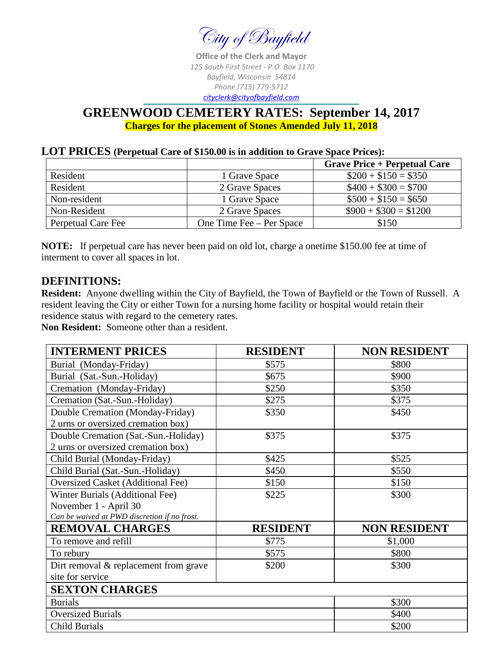

**Office of the Clerk and Mayor** *125 South First Street - P.O. Box 1170 Bayfield, Wisconsin 54814 Phone (715) 779-5712 [cityclerk@cityofbayfield.com](mailto:cityclerk@charter.net)*

### **GREENWOOD CEMETERY RATES: September 14, 2017 Charges for the placement of Stones Amended July 11, 2018**

#### **LOT PRICES (Perpetual Care of \$150.00 is in addition to Grave Space Prices):**

|                    |                          | <b>Grave Price + Perpetual Care</b> |
|--------------------|--------------------------|-------------------------------------|
| Resident           | 1 Grave Space            | $\$200 + \$150 = \$350$             |
| Resident           | 2 Grave Spaces           | $$400 + $300 = $700$                |
| Non-resident       | 1 Grave Space            | $$500 + $150 = $650$                |
| Non-Resident       | 2 Grave Spaces           | $$900 + $300 = $1200$               |
| Perpetual Care Fee | One Time Fee – Per Space | \$150                               |

**NOTE:** If perpetual care has never been paid on old lot, charge a onetime \$150.00 fee at time of interment to cover all spaces in lot.

### **DEFINITIONS:**

**Resident:** Anyone dwelling within the City of Bayfield, the Town of Bayfield or the Town of Russell. A resident leaving the City or either Town for a nursing home facility or hospital would retain their residence status with regard to the cemetery rates.

**Non Resident:** Someone other than a resident.

| <b>INTERMENT PRICES</b>                      | <b>RESIDENT</b> | <b>NON RESIDENT</b> |
|----------------------------------------------|-----------------|---------------------|
| Burial (Monday-Friday)                       | \$575           | \$800               |
| Burial (Sat.-Sun.-Holiday)                   | \$675           | \$900               |
| Cremation (Monday-Friday)                    | \$250           | \$350               |
| Cremation (Sat.-Sun.-Holiday)                | \$275           | \$375               |
| Double Cremation (Monday-Friday)             | \$350           | \$450               |
| 2 urns or oversized cremation box)           |                 |                     |
| Double Cremation (Sat.-Sun.-Holiday)         | \$375           | \$375               |
| 2 urns or oversized cremation box)           |                 |                     |
| Child Burial (Monday-Friday)                 | \$425           | \$525               |
| Child Burial (Sat.-Sun.-Holiday)             | \$450           | \$550               |
| <b>Oversized Casket (Additional Fee)</b>     | \$150           | \$150               |
| Winter Burials (Additional Fee)              | \$225           | \$300               |
| November 1 - April 30                        |                 |                     |
| Can be waived at PWD discretion if no frost. |                 |                     |
| <b>REMOVAL CHARGES</b>                       | <b>RESIDENT</b> | <b>NON RESIDENT</b> |
| To remove and refill                         | \$775           | \$1,000             |
| To rebury                                    | \$575           | \$800               |
| Dirt removal $&$ replacement from grave      | \$200           | \$300               |
| site for service                             |                 |                     |
| <b>SEXTON CHARGES</b>                        |                 |                     |
| <b>Burials</b>                               |                 | \$300               |
| <b>Oversized Burials</b>                     |                 | \$400               |
| <b>Child Burials</b>                         |                 | \$200               |